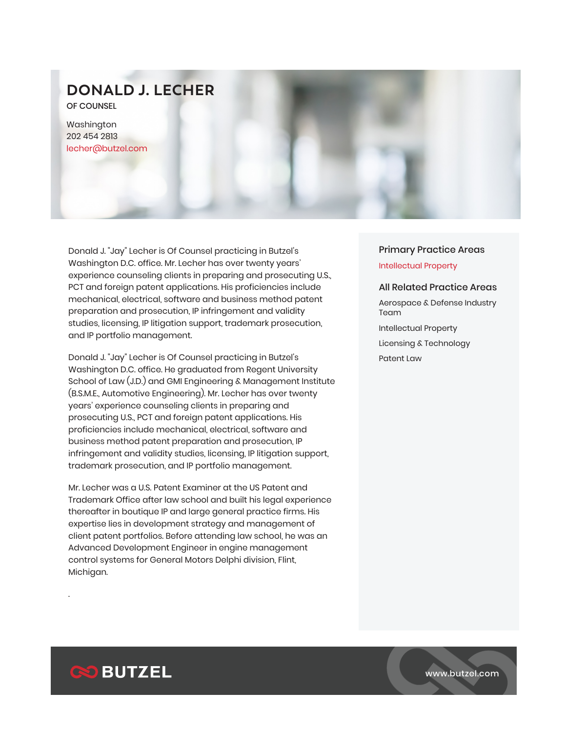# **DONALD J. LECHER**

OF COUNSEL

Washington 202 454 2813 lecher@butzel.com

Donald J. "Jay" Lecher is Of Counsel practicing in Butzel's Washington D.C. office. Mr. Lecher has over twenty years' experience counseling clients in preparing and prosecuting U.S., PCT and foreign patent applications. His proficiencies include mechanical, electrical, software and business method patent preparation and prosecution, IP infringement and validity studies, licensing, IP litigation support, trademark prosecution, and IP portfolio management.

Donald J. "Jay" Lecher is Of Counsel practicing in Butzel's Washington D.C. office. He graduated from Regent University School of Law (J.D.) and GMI Engineering & Management Institute (B.S.M.E., Automotive Engineering). Mr. Lecher has over twenty years' experience counseling clients in preparing and prosecuting U.S., PCT and foreign patent applications. His proficiencies include mechanical, electrical, software and business method patent preparation and prosecution, IP infringement and validity studies, licensing, IP litigation support, trademark prosecution, and IP portfolio management.

Mr. Lecher was a U.S. Patent Examiner at the US Patent and Trademark Office after law school and built his legal experience thereafter in boutique IP and large general practice firms. His expertise lies in development strategy and management of client patent portfolios. Before attending law school, he was an Advanced Development Engineer in engine management control systems for General Motors Delphi division, Flint, Michigan.

## Primary Practice Areas Intellectual Property

### All Related Practice Areas

Aerospace & Defense Industry Team Intellectual Property Licensing & Technology Patent Law



.